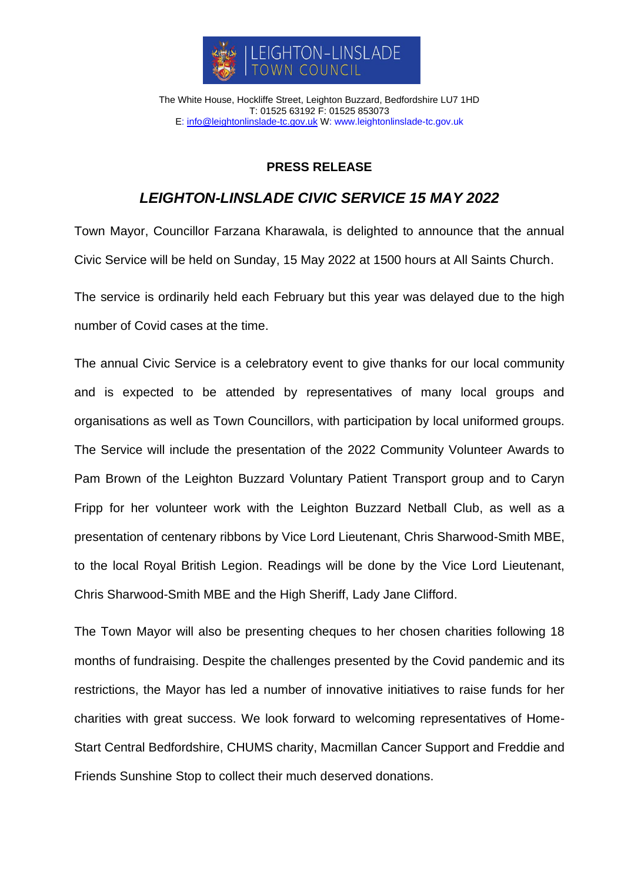

The White House, Hockliffe Street, Leighton Buzzard, Bedfordshire LU7 1HD T: 01525 63192 F: 01525 853073 E: [info@leightonlinslade-tc.gov.uk](mailto:bookings@leightonlinslade-tc.gov.uk) W: [www.leightonlinslade-tc.gov.uk](http://www.leightonlinslade-tc.gov.uk/)

## **PRESS RELEASE**

## *LEIGHTON-LINSLADE CIVIC SERVICE 15 MAY 2022*

Town Mayor, Councillor Farzana Kharawala, is delighted to announce that the annual Civic Service will be held on Sunday, 15 May 2022 at 1500 hours at All Saints Church.

The service is ordinarily held each February but this year was delayed due to the high number of Covid cases at the time.

The annual Civic Service is a celebratory event to give thanks for our local community and is expected to be attended by representatives of many local groups and organisations as well as Town Councillors, with participation by local uniformed groups. The Service will include the presentation of the 2022 Community Volunteer Awards to Pam Brown of the Leighton Buzzard Voluntary Patient Transport group and to Caryn Fripp for her volunteer work with the Leighton Buzzard Netball Club, as well as a presentation of centenary ribbons by Vice Lord Lieutenant, Chris Sharwood-Smith MBE, to the local Royal British Legion. Readings will be done by the Vice Lord Lieutenant, Chris Sharwood-Smith MBE and the High Sheriff, Lady Jane Clifford.

The Town Mayor will also be presenting cheques to her chosen charities following 18 months of fundraising. Despite the challenges presented by the Covid pandemic and its restrictions, the Mayor has led a number of innovative initiatives to raise funds for her charities with great success. We look forward to welcoming representatives of Home-Start Central Bedfordshire, CHUMS charity, Macmillan Cancer Support and Freddie and Friends Sunshine Stop to collect their much deserved donations.